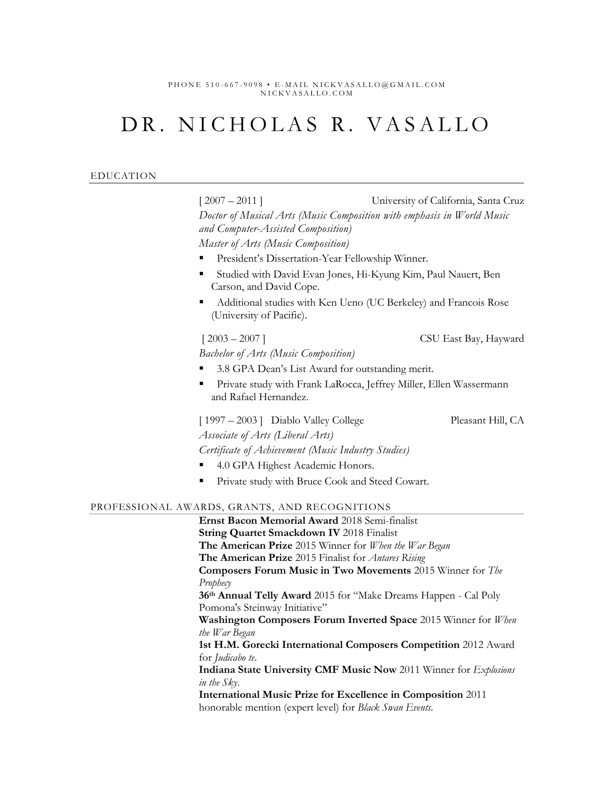PHONE 510-667-9098 • E-MAIL NICKVASALLO@GMAIL.COM NICKVASALLO.COM

# DR. NICHOLAS R. VASALLO

| <b>EDUCATION</b> |  |
|------------------|--|
|------------------|--|

[ 2007 – 2011 ] University of California, Santa Cruz *Doctor of Musical Arts (Music Composition with emphasis in World Music and Computer-Assisted Composition) Master of Arts (Music Composition)* President's Dissertation-Year Fellowship Winner. Studied with David Evan Jones, Hi-Kyung Kim, Paul Nauert, Ben Carson, and David Cope. Additional studies with Ken Ueno (UC Berkeley) and Francois Rose (University of Pacific).  $[2003 - 2007]$  CSU East Bay, Hayward *Bachelor of Arts (Music Composition)* 3.8 GPA Dean's List Award for outstanding merit. Private study with Frank LaRocca, Jeffrey Miller, Ellen Wassermann and Rafael Hernandez. [ 1997 – 2003 ] Diablo Valley College Pleasant Hill, CA *Associate of Arts (Liberal Arts) Certificate of Achievement (Music Industry Studies)* 4.0 GPA Highest Academic Honors. Private study with Bruce Cook and Steed Cowart. PROFESSIONAL AWARDS, GRANTS, AND RECOGNITIONS **Ernst Bacon Memorial Award** 2018 Semi-finalist **String Quartet Smackdown IV** 2018 Finalist **The American Prize** 2015 Winner for *When the War Began* **The American Prize** 2015 Finalist for *Antares Rising* **Composers Forum Music in Two Movements** 2015 Winner for *The* 

*Prophecy*

**36th Annual Telly Award** 2015 for "Make Dreams Happen - Cal Poly Pomona's Steinway Initiative"

**Washington Composers Forum Inverted Space** 2015 Winner for *When the War Began*

**1st H.M. Gorecki International Composers Competition** 2012 Award for *Judicabo te*.

**Indiana State University CMF Music Now** 2011 Winner for *Explosions in the Sky*.

**International Music Prize for Excellence in Composition** 2011 honorable mention (expert level) for *Black Swan Events.*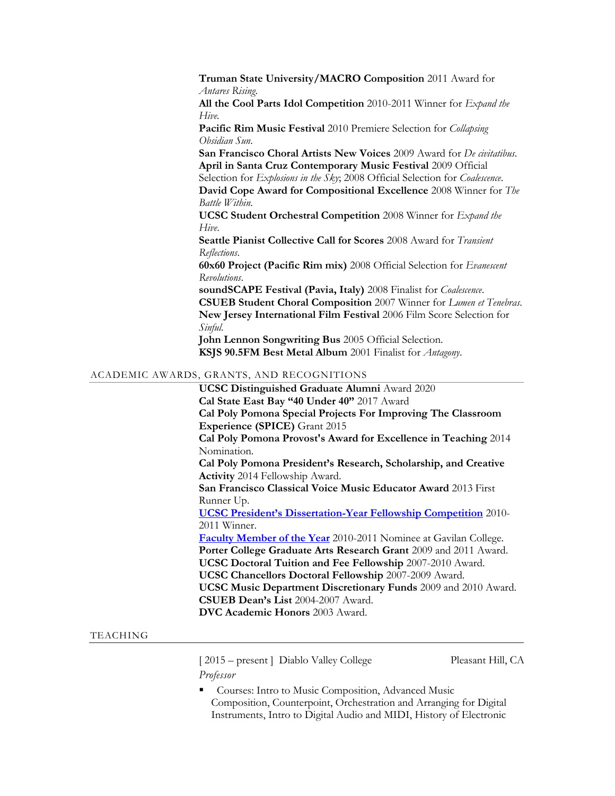**Truman State University/MACRO Composition** 2011 Award for *Antares Rising*. **All the Cool Parts Idol Competition** 2010-2011 Winner for *Expand the Hive.* **Pacific Rim Music Festival** 2010 Premiere Selection for *Collapsing Obsidian Sun*. **San Francisco Choral Artists New Voices** 2009 Award for *De civitatibus*. **April in Santa Cruz Contemporary Music Festival** 2009 Official Selection for *Explosions in the Sky*; 2008 Official Selection for *Coalescence*. **David Cope Award for Compositional Excellence** 2008 Winner for *The Battle Within*. **UCSC Student Orchestral Competition** 2008 Winner for *Expand the Hive*. **Seattle Pianist Collective Call for Scores** 2008 Award for *Transient Reflections*. **60x60 Project (Pacific Rim mix)** 2008 Official Selection for *Evanescent Revolutions*. **soundSCAPE Festival (Pavia, Italy)** 2008 Finalist for *Coalescence*. **CSUEB Student Choral Composition** 2007 Winner for *Lumen et Tenebras*. **New Jersey International Film Festival** 2006 Film Score Selection for *Sinful*. **John Lennon Songwriting Bus** 2005 Official Selection. **KSJS 90.5FM Best Metal Album** 2001 Finalist for *Antagony*.

# ACADEMIC AWARDS, GRANTS, AND RECOGNITIONS

**UCSC Distinguished Graduate Alumni** Award 2020 **Cal State East Bay "40 Under 40"** 2017 Award **Cal Poly Pomona Special Projects For Improving The Classroom Experience (SPICE)** Grant 2015 **Cal Poly Pomona Provost's Award for Excellence in Teaching** 2014 Nomination. **Cal Poly Pomona President's Research, Scholarship, and Creative Activity** 2014 Fellowship Award. **San Francisco Classical Voice Music Educator Award** 2013 First Runner Up. **[UCSC President's Dissertation](http://vasallo.netdojo.com/test/images/sc_sentinel.jpg)-Year Fellowship Competition** 2010- 2011 Winner. **[Faculty Member of the Year](http://vasallo.netdojo.com/test/images/Gavilan-article.jpg)** 2010-2011 Nominee at Gavilan College. **Porter College Graduate Arts Research Grant** 2009 and 2011 Award. **UCSC Doctoral Tuition and Fee Fellowship** 2007-2010 Award. **UCSC Chancellors Doctoral Fellowship** 2007-2009 Award. **UCSC Music Department Discretionary Funds** 2009 and 2010 Award. **CSUEB Dean's List** 2004-2007 Award. **DVC Academic Honors** 2003 Award.

# TEACHING

[ 2015 – present ] Diablo Valley College Pleasant Hill, CA *Professor*

Courses: Intro to Music Composition, Advanced Music Composition, Counterpoint, Orchestration and Arranging for Digital Instruments, Intro to Digital Audio and MIDI, History of Electronic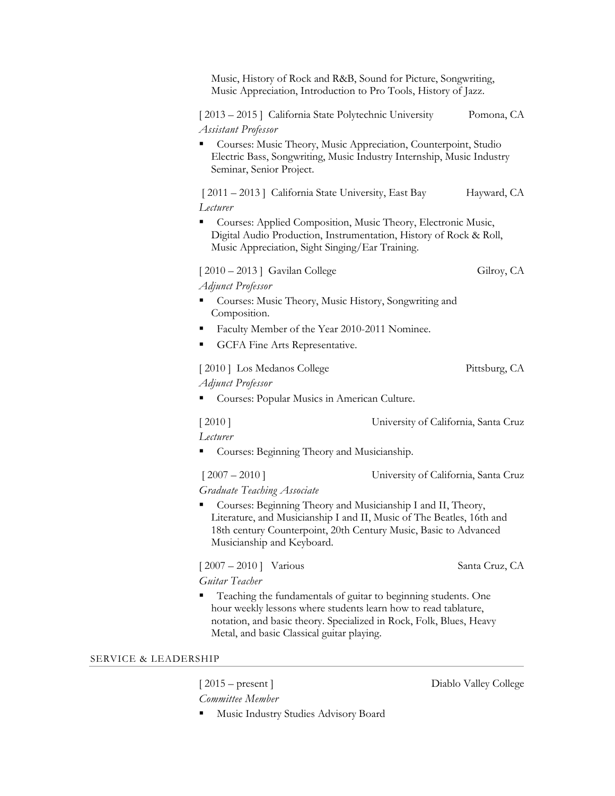|                                 | Music, History of Rock and R&B, Sound for Picture, Songwriting,<br>Music Appreciation, Introduction to Pro Tools, History of Jazz.                                                                                                                     |                                      |                |  |
|---------------------------------|--------------------------------------------------------------------------------------------------------------------------------------------------------------------------------------------------------------------------------------------------------|--------------------------------------|----------------|--|
|                                 | [2013 – 2015] California State Polytechnic University<br><b>Assistant Professor</b>                                                                                                                                                                    |                                      | Pomona, CA     |  |
|                                 | Courses: Music Theory, Music Appreciation, Counterpoint, Studio<br>Electric Bass, Songwriting, Music Industry Internship, Music Industry<br>Seminar, Senior Project.                                                                                   |                                      |                |  |
|                                 | [2011 – 2013] California State University, East Bay<br>Lecturer                                                                                                                                                                                        |                                      | Hayward, CA    |  |
|                                 | Courses: Applied Composition, Music Theory, Electronic Music,<br>Digital Audio Production, Instrumentation, History of Rock & Roll,<br>Music Appreciation, Sight Singing/Ear Training.                                                                 |                                      |                |  |
|                                 | $[2010 - 2013]$ Gavilan College                                                                                                                                                                                                                        |                                      | Gilroy, CA     |  |
|                                 | <b>Adjunct Professor</b><br>Courses: Music Theory, Music History, Songwriting and<br>Composition.                                                                                                                                                      |                                      |                |  |
|                                 | Faculty Member of the Year 2010-2011 Nominee.                                                                                                                                                                                                          |                                      |                |  |
|                                 | GCFA Fine Arts Representative.                                                                                                                                                                                                                         |                                      |                |  |
|                                 | [2010] Los Medanos College<br><b>Adjunct Professor</b>                                                                                                                                                                                                 |                                      | Pittsburg, CA  |  |
|                                 | Courses: Popular Musics in American Culture.                                                                                                                                                                                                           |                                      |                |  |
|                                 | University of California, Santa Cruz<br>[2010]                                                                                                                                                                                                         |                                      |                |  |
|                                 | Lecturer<br>Courses: Beginning Theory and Musicianship.                                                                                                                                                                                                |                                      |                |  |
|                                 | $[2007 - 2010]$                                                                                                                                                                                                                                        | University of California, Santa Cruz |                |  |
|                                 | Graduate Teaching Associate                                                                                                                                                                                                                            |                                      |                |  |
|                                 | Courses: Beginning Theory and Musicianship I and II, Theory,<br>Literature, and Musicianship I and II, Music of The Beatles, 16th and<br>18th century Counterpoint, 20th Century Music, Basic to Advanced<br>Musicianship and Keyboard.                |                                      |                |  |
|                                 | $[2007 - 2010]$ Various                                                                                                                                                                                                                                |                                      | Santa Cruz, CA |  |
|                                 | Guitar Teacher                                                                                                                                                                                                                                         |                                      |                |  |
|                                 | Teaching the fundamentals of guitar to beginning students. One<br>hour weekly lessons where students learn how to read tablature,<br>notation, and basic theory. Specialized in Rock, Folk, Blues, Heavy<br>Metal, and basic Classical guitar playing. |                                      |                |  |
| <b>SERVICE &amp; LEADERSHIP</b> |                                                                                                                                                                                                                                                        |                                      |                |  |
|                                 |                                                                                                                                                                                                                                                        |                                      |                |  |

*Committee Member*

[ 2015 – present ] Diablo Valley College

▪ Music Industry Studies Advisory Board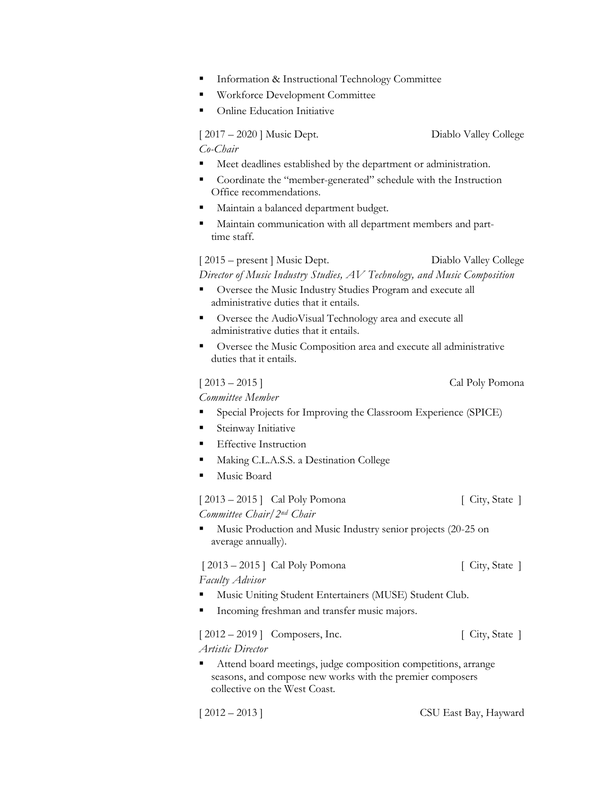- **Information & Instructional Technology Committee**
- Workforce Development Committee
- **Online Education Initiative**

[ 2017 – 2020 ] Music Dept. Diablo Valley College *Co-Chair*

- Meet deadlines established by the department or administration.
- Coordinate the "member-generated" schedule with the Instruction Office recommendations.
- Maintain a balanced department budget.
- Maintain communication with all department members and parttime staff.

[ 2015 – present ] Music Dept. Diablo Valley College *Director of Music Industry Studies, AV Technology, and Music Composition*

- Oversee the Music Industry Studies Program and execute all administrative duties that it entails.
- Oversee the AudioVisual Technology area and execute all administrative duties that it entails.
- Oversee the Music Composition area and execute all administrative duties that it entails.

[ 2013 – 2015 ] Cal Poly Pomona

*Committee Member*

- Special Projects for Improving the Classroom Experience (SPICE)
- Steinway Initiative
- **Effective Instruction**
- Making C.L.A.S.S. a Destination College
- Music Board

[ 2013 – 2015 ] Cal Poly Pomona [ City, State ] *Committee Chair/2nd Chair*

Music Production and Music Industry senior projects (20-25 on average annually).

[ 2013 – 2015 ] Cal Poly Pomona [ City, State ] *Faculty Advisor*

- Music Uniting Student Entertainers (MUSE) Student Club.
- Incoming freshman and transfer music majors.

[ 2012 – 2019 ] Composers, Inc. [ City, State ] *Artistic Director*

▪ Attend board meetings, judge composition competitions, arrange seasons, and compose new works with the premier composers collective on the West Coast.

[ 2012 – 2013 ] CSU East Bay, Hayward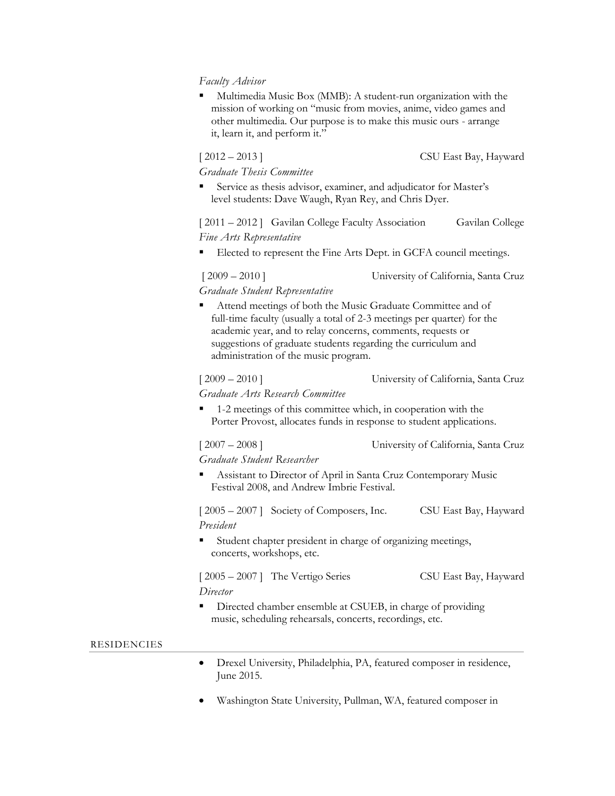# *Faculty Advisor*

Multimedia Music Box (MMB): A student-run organization with the mission of working on "music from movies, anime, video games and other multimedia. Our purpose is to make this music ours - arrange it, learn it, and perform it."

*Graduate Thesis Committee*

[ 2012 – 2013 ] CSU East Bay, Hayward

Service as thesis advisor, examiner, and adjudicator for Master's level students: Dave Waugh, Ryan Rey, and Chris Dyer.

[ 2011 – 2012 ] Gavilan College Faculty Association Gavilan College *Fine Arts Representative*

Elected to represent the Fine Arts Dept. in GCFA council meetings.

[ 2009 – 2010 ] University of California, Santa Cruz

*Graduate Student Representative*

Attend meetings of both the Music Graduate Committee and of full-time faculty (usually a total of 2-3 meetings per quarter) for the academic year, and to relay concerns, comments, requests or suggestions of graduate students regarding the curriculum and administration of the music program.

# [ 2009 – 2010 ] University of California, Santa Cruz

*Graduate Arts Research Committee*

1-2 meetings of this committee which, in cooperation with the Porter Provost, allocates funds in response to student applications.

[ 2007 – 2008 ] University of California, Santa Cruz

*Graduate Student Researcher*

Assistant to Director of April in Santa Cruz Contemporary Music Festival 2008, and Andrew Imbrie Festival.

[ 2005 – 2007 ] Society of Composers, Inc. CSU East Bay, Hayward *President*

Student chapter president in charge of organizing meetings, concerts, workshops, etc.

[ 2005 – 2007 ] The Vertigo Series CSU East Bay, Hayward *Director*

- 
- Directed chamber ensemble at CSUEB, in charge of providing music, scheduling rehearsals, concerts, recordings, etc.

# RESIDENCIES

- Drexel University, Philadelphia, PA, featured composer in residence, June 2015.
- Washington State University, Pullman, WA, featured composer in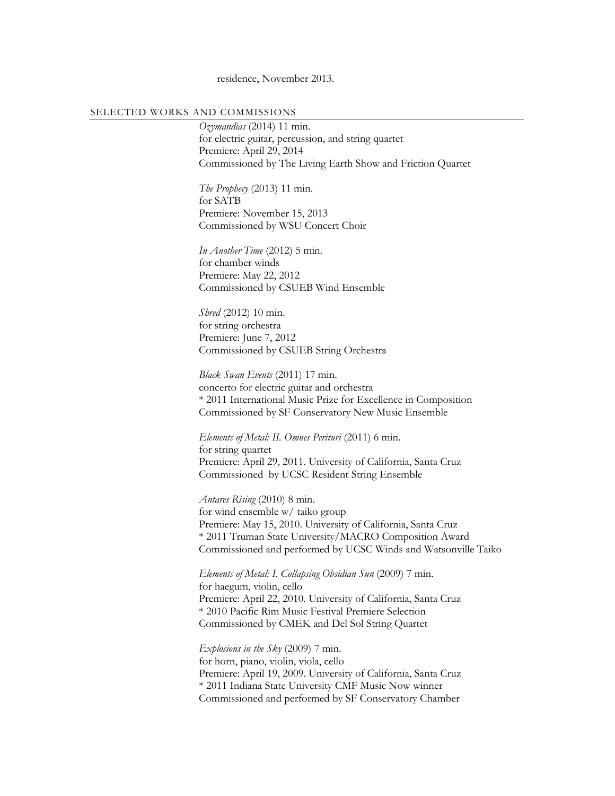residence, November 2013.

### SELECTED WORKS AND COMMISSIONS

*Ozymandias* (2014) 11 min. for electric guitar, percussion, and string quartet Premiere: April 29, 2014 Commissioned by The Living Earth Show and Friction Quartet

*The Prophecy* (2013) 11 min. for SATB Premiere: November 15, 2013 Commissioned by WSU Concert Choir

*In Another Time* (2012) 5 min. for chamber winds Premiere: May 22, 2012 Commissioned by CSUEB Wind Ensemble

*Shred* (2012) 10 min. for string orchestra Premiere: June 7, 2012 Commissioned by CSUEB String Orchestra

*Black Swan Events* (2011) 17 min. concerto for electric guitar and orchestra \* 2011 International Music Prize for Excellence in Composition Commissioned by SF Conservatory New Music Ensemble

*Elements of Metal: II. Omnes Perituri* (2011) 6 min. for string quartet Premiere: April 29, 2011. University of California, Santa Cruz Commissioned by UCSC Resident String Ensemble

*Antares Rising* (2010) 8 min. for wind ensemble w/ taiko group Premiere: May 15, 2010. University of California, Santa Cruz \* 2011 Truman State University/MACRO Composition Award Commissioned and performed by UCSC Winds and Watsonville Taiko

*Elements of Metal: I. Collapsing Obsidian Sun* (2009) 7 min. for haegum, violin, cello Premiere: April 22, 2010. University of California, Santa Cruz \* 2010 Pacific Rim Music Festival Premiere Selection Commissioned by CMEK and Del Sol String Quartet

*Explosions in the Sky* (2009) 7 min. for horn, piano, violin, viola, cello Premiere: April 19, 2009. University of California, Santa Cruz \* 2011 Indiana State University CMF Music Now winner Commissioned and performed by SF Conservatory Chamber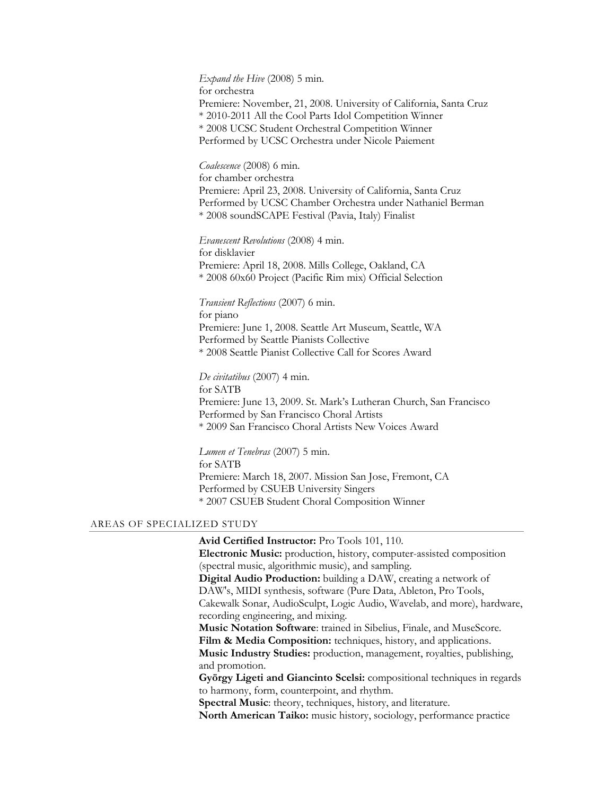*Expand the Hive* (2008) 5 min. for orchestra Premiere: November, 21, 2008. University of California, Santa Cruz \* 2010-2011 All the Cool Parts Idol Competition Winner \* 2008 UCSC Student Orchestral Competition Winner Performed by UCSC Orchestra under Nicole Paiement

*Coalescence* (2008) 6 min. for chamber orchestra Premiere: April 23, 2008. University of California, Santa Cruz Performed by UCSC Chamber Orchestra under Nathaniel Berman \* 2008 soundSCAPE Festival (Pavia, Italy) Finalist

*Evanescent Revolutions* (2008) 4 min. for disklavier Premiere: April 18, 2008. Mills College, Oakland, CA \* 2008 60x60 Project (Pacific Rim mix) Official Selection

*Transient Reflections* (2007) 6 min. for piano Premiere: June 1, 2008. Seattle Art Museum, Seattle, WA Performed by Seattle Pianists Collective \* 2008 Seattle Pianist Collective Call for Scores Award

*De civitatibus* (2007) 4 min. for SATB Premiere: June 13, 2009. St. Mark's Lutheran Church, San Francisco Performed by San Francisco Choral Artists \* 2009 San Francisco Choral Artists New Voices Award

*Lumen et Tenebras* (2007) 5 min. for SATB Premiere: March 18, 2007. Mission San Jose, Fremont, CA Performed by CSUEB University Singers \* 2007 CSUEB Student Choral Composition Winner

#### AREAS OF SPECIALIZED STUDY

**Avid Certified Instructor:** Pro Tools 101, 110. **Electronic Music:** production, history, computer-assisted composition (spectral music, algorithmic music), and sampling. **Digital Audio Production:** building a DAW, creating a network of DAW's, MIDI synthesis, software (Pure Data, Ableton, Pro Tools, Cakewalk Sonar, AudioSculpt, Logic Audio, Wavelab, and more), hardware, recording engineering, and mixing. **Music Notation Software**: trained in Sibelius, Finale, and MuseScore. Film & Media Composition: techniques, history, and applications. **Music Industry Studies:** production, management, royalties, publishing, and promotion. **György Ligeti and Giancinto Scelsi:** compositional techniques in regards to harmony, form, counterpoint, and rhythm.

**Spectral Music**: theory, techniques, history, and literature.

**North American Taiko:** music history, sociology, performance practice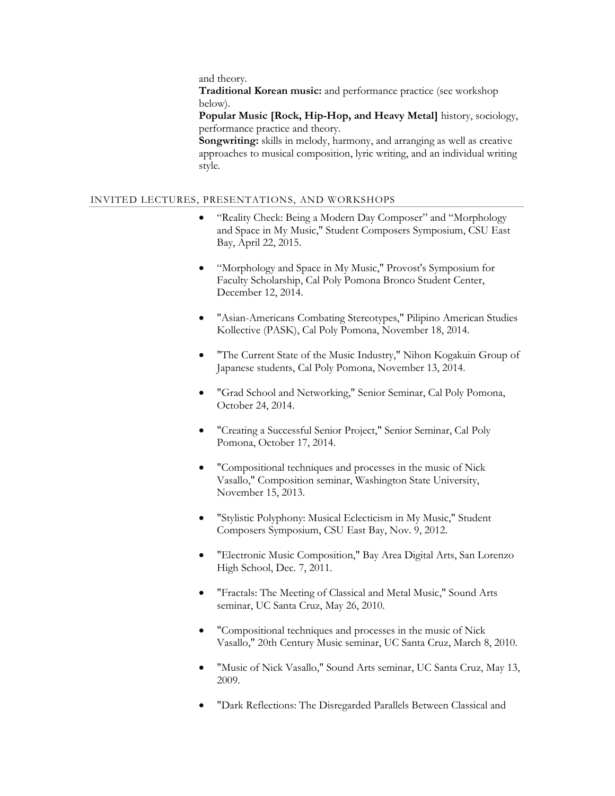and theory.

**Traditional Korean music:** and performance practice (see workshop below).

**Popular Music [Rock, Hip-Hop, and Heavy Metal]** history, sociology, performance practice and theory.

**Songwriting:** skills in melody, harmony, and arranging as well as creative approaches to musical composition, lyric writing, and an individual writing style.

# INVITED LECTURES, PRESENTATIONS, AND WORKSHOPS

- "Reality Check: Being a Modern Day Composer" and "Morphology and Space in My Music," Student Composers Symposium, CSU East Bay, April 22, 2015.
- "Morphology and Space in My Music," Provost's Symposium for Faculty Scholarship, Cal Poly Pomona Bronco Student Center, December 12, 2014.
- "Asian-Americans Combating Stereotypes," Pilipino American Studies Kollective (PASK), Cal Poly Pomona, November 18, 2014.
- "The Current State of the Music Industry," Nihon Kogakuin Group of Japanese students, Cal Poly Pomona, November 13, 2014.
- "Grad School and Networking," Senior Seminar, Cal Poly Pomona, October 24, 2014.
- "Creating a Successful Senior Project," Senior Seminar, Cal Poly Pomona, October 17, 2014.
- "Compositional techniques and processes in the music of Nick Vasallo," Composition seminar, Washington State University, November 15, 2013.
- "Stylistic Polyphony: Musical Eclecticism in My Music," Student Composers Symposium, CSU East Bay, Nov. 9, 2012.
- "Electronic Music Composition," Bay Area Digital Arts, San Lorenzo High School, Dec. 7, 2011.
- "Fractals: The Meeting of Classical and Metal Music," Sound Arts seminar, UC Santa Cruz, May 26, 2010.
- "Compositional techniques and processes in the music of Nick Vasallo," 20th Century Music seminar, UC Santa Cruz, March 8, 2010.
- "Music of Nick Vasallo," Sound Arts seminar, UC Santa Cruz, May 13, 2009.
- "Dark Reflections: The Disregarded Parallels Between Classical and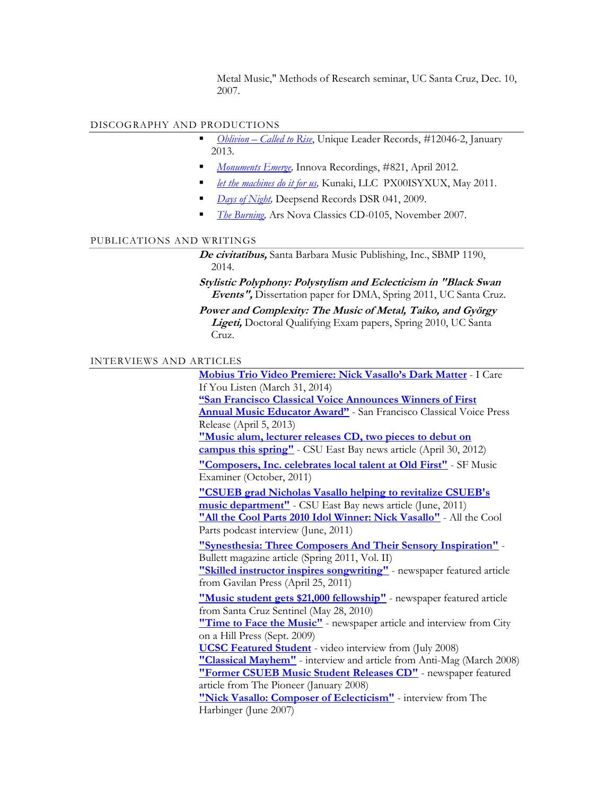Metal Music," Methods of Research seminar, UC Santa Cruz, Dec. 10, 2007.

# DISCOGRAPHY AND PRODUCTIONS

- *Oblivion – [Called to Rise](http://obtainoblivion.bandcamp.com/)*, Unique Leader Records, #12046-2, January 2013.
- *[Monuments Emerge,](http://www.amazon.com/Monuments-Emerge-Nick-Vasallo/dp/B007C7FEZK)* Innova Recordings, #821, April 2012.
- [let the machines do it for us,](http://nickvasallo.bandcamp.com/album/let-the-machines-do-it-for-us) Kunaki, LLC PX00ISYXUX, May 2011.
- *Days of Night*, Deepsend Records DSR 041, 2009.
- **[The Burning,](http://www.amazon.com/Burning-Nick-Vasallo/dp/B000ZTDWAG) Ars Nova Classics CD-0105, November 2007.**

#### PUBLICATIONS AND WRITINGS

**De civitatibus,** Santa Barbara Music Publishing, Inc., SBMP 1190, 2014.

**Stylistic Polyphony: Polystylism and Eclecticism in "Black Swan Events",** Dissertation paper for DMA, Spring 2011, UC Santa Cruz.

**Power and Complexity: The Music of Metal, Taiko, and György Ligeti,** Doctoral Qualifying Exam papers, Spring 2010, UC Santa Cruz.

### INTERVIEWS AND ARTICLES

**[Mobius Trio Video Premiere: Nick Vasallo's Dark](http://www.icareifyoulisten.com/2014/03/mobius-trio-video-premiere-nick-vasallos-dark-matter/) Matter** - I Care If You Listen (March 31, 2014) **["San Francisco Classical Voice](http://myemail.constantcontact.com/San-Francisco-Classical-Voice-Announces-Winners-of-First-Annual-Music-Educator-Award.html?soid=1101245884645&aid=4F6MU63m11E) Announces Winners of First [Annual Music Educator Award"](http://myemail.constantcontact.com/San-Francisco-Classical-Voice-Announces-Winners-of-First-Annual-Music-Educator-Award.html?soid=1101245884645&aid=4F6MU63m11E)** - San Francisco Classical Voice Press Release (April 5, 2013) **["Music alum, lecturer releases CD, two pieces to debut](http://www20.csueastbay.edu/news/blog/2012/04/nick-vasallo-cd.html) on [campus this spring"](http://www20.csueastbay.edu/news/blog/2012/04/nick-vasallo-cd.html)** - CSU East Bay news article (April 30, 2012) **["Composers, Inc. celebrates local talent at Old First"](http://www.examiner.com/classical-music-in-san-francisco/composers-inc-celebrates-local-talent-at-old-first)** - SF Music Examiner (October, 2011) **["CSUEB grad Nicholas Vasallo helping to revitalize CSUEB's](http://www20.csueastbay.edu/news/blog/2011/06/csueb-alum-nicolas-vasallo-helping-to-revitalize-music-department.html)  [music department"](http://www20.csueastbay.edu/news/blog/2011/06/csueb-alum-nicolas-vasallo-helping-to-revitalize-music-department.html)** - CSU East Bay news article (June, 2011) **["All the Cool Parts 2010 Idol Winner: Nick Vasallo"](http://allthecoolparts.blogspot.com/2011/06/acp-26.html)** - All the Cool Parts podcast interview (June, 2011) **["Synesthesia: Three Composers And Their Sensory Inspiration"](http://turnstylenews.com/2011/05/18/synesthesia-three-composers-and-their-sensory-inspiration/)** - Bullett magazine article (Spring 2011, Vol. II) **["Skilled instructor inspires songwriting"](http://nickvasallo.com/images/Gavilan-article.jpg)** - newspaper featured article from Gavilan Press (April 25, 2011) **["Music student gets \\$21,000 fellowship"](http://www.santacruzsentinel.com/ci_15180176)** - newspaper featured article from Santa Cruz Sentinel (May 28, 2010) **["Time to Face the Music"](http://www.cityonahillpress.com/2009/09/21/time-to-face-the-music)** - newspaper article and interview from City on a Hill Press (Sept. 2009) **[UCSC Featured Student](http://www.youtube.com/watch?v=sUeQ9wVWbVY)** - video interview from (July 2008) **["Classical Mayhem"](http://www.anti-mag.com/nick_vasallo.html)** - interview and article from Anti-Mag (March 2008) **["Former CSUEB Music Student Releases CD"](http://nickvasallo.com/images/CSUEB_article_small.jpg)** - newspaper featured article from The Pioneer (January 2008) **["Nick Vasallo: Composer of Eclecticism"](http://www.freewebs.com/peterstanchek/interviews.htm)** - interview from The Harbinger (June 2007)